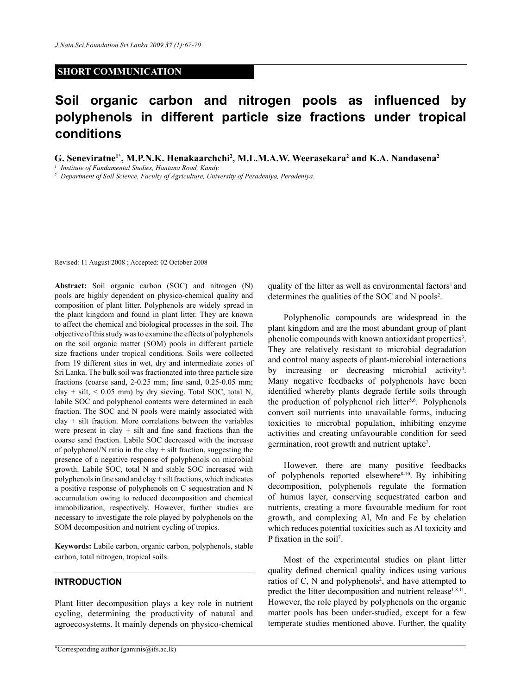## **SHORT COMMUNICATION**

# **Soil organic carbon and nitrogen pools as influenced by polyphenols in different particle size fractions under tropical conditions**

**G. Seneviratne1\*, M.P.N.K. Henakaarchchi2 , M.L.M.A.W. Weerasekara<sup>2</sup> and K.A. Nandasena2**

*<sup>1</sup> Institute of Fundamental Studies, Hantana Road, Kandy.*

*<sup>2</sup> Department of Soil Science, Faculty of Agriculture, University of Peradeniya, Peradeniya.*

Revised: 11 August 2008 ; Accepted: 02 October 2008

**Abstract:** Soil organic carbon (SOC) and nitrogen (N) pools are highly dependent on physico-chemical quality and composition of plant litter. Polyphenols are widely spread in the plant kingdom and found in plant litter. They are known to affect the chemical and biological processes in the soil. The objective of this study was to examine the effects of polyphenols on the soil organic matter (SOM) pools in different particle size fractions under tropical conditions. Soils were collected from 19 different sites in wet, dry and intermediate zones of Sri Lanka. The bulk soil was fractionated into three particle size fractions (coarse sand, 2-0.25 mm; fine sand, 0.25-0.05 mm; clay + silt,  $< 0.05$  mm) by dry sieving. Total SOC, total N, labile SOC and polyphenol contents were determined in each fraction. The SOC and N pools were mainly associated with clay + silt fraction. More correlations between the variables were present in clay  $+$  silt and fine sand fractions than the coarse sand fraction. Labile SOC decreased with the increase of polyphenol/N ratio in the clay + silt fraction, suggesting the presence of a negative response of polyphenols on microbial growth. Labile SOC, total N and stable SOC increased with polyphenols in fine sand and clay + silt fractions, which indicates a positive response of polyphenols on C sequestration and N accumulation owing to reduced decomposition and chemical immobilization, respectively. However, further studies are necessary to investigate the role played by polyphenols on the SOM decomposition and nutrient cycling of tropics.

**Keywords:** Labile carbon, organic carbon, polyphenols, stable carbon, total nitrogen, tropical soils.

### **INTRODUCTION**

Plant litter decomposition plays a key role in nutrient cycling, determining the productivity of natural and agroecosystems. It mainly depends on physico-chemical quality of the litter as well as environmental factors<sup>1</sup> and determines the qualities of the SOC and N pools<sup>2</sup>.

Polyphenolic compounds are widespread in the plant kingdom and are the most abundant group of plant phenolic compounds with known antioxidant properties<sup>3</sup>. They are relatively resistant to microbial degradation and control many aspects of plant-microbial interactions by increasing or decreasing microbial activity<sup>4</sup>. Many negative feedbacks of polyphenols have been identified whereby plants degrade fertile soils through the production of polyphenol rich litter<sup>5,6</sup>. Polyphenols convert soil nutrients into unavailable forms, inducing toxicities to microbial population, inhibiting enzyme activities and creating unfavourable condition for seed germination, root growth and nutrient uptake<sup>7</sup>.

However, there are many positive feedbacks of polyphenols reported elsewhere $8-10$ . By inhibiting decomposition, polyphenols regulate the formation of humus layer, conserving sequestrated carbon and nutrients, creating a more favourable medium for root growth, and complexing Al, Mn and Fe by chelation which reduces potential toxicities such as Al toxicity and P fixation in the soil<sup>7</sup>.

Most of the experimental studies on plant litter quality defined chemical quality indices using various ratios of C, N and polyphenols<sup>2</sup>, and have attempted to predict the litter decomposition and nutrient release<sup>1,8,11</sup>. However, the role played by polyphenols on the organic matter pools has been under-studied, except for a few temperate studies mentioned above. Further, the quality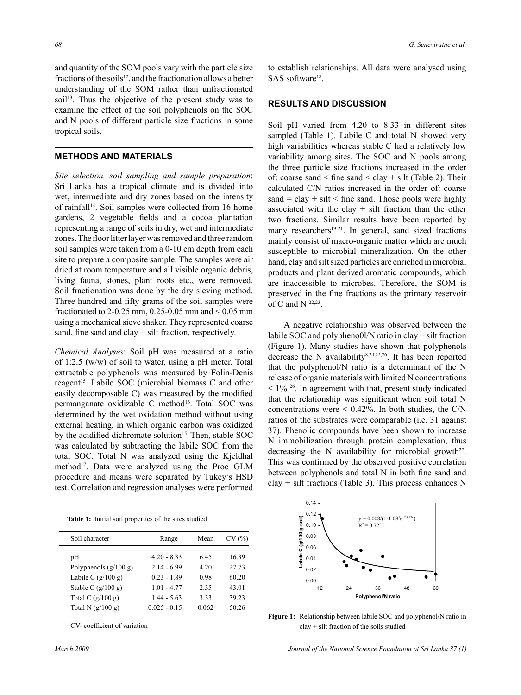and quantity of the SOM pools vary with the particle size fractions of the soils<sup>12</sup>, and the fractionation allows a better understanding of the SOM rather than unfractionated soil<sup>13</sup>. Thus the objective of the present study was to examine the effect of the soil polyphenols on the SOC and N pools of different particle size fractions in some tropical soils.

#### **METHODS AND MATERIALS**

*Site selection, soil sampling and sample preparation*: Sri Lanka has a tropical climate and is divided into wet, intermediate and dry zones based on the intensity of rainfall<sup>14</sup>. Soil samples were collected from 16 home gardens, 2 vegetable fields and a cocoa plantation representing a range of soils in dry, wet and intermediate zones. The floor litter layer was removed and three random soil samples were taken from a 0-10 cm depth from each site to prepare a composite sample. The samples were air dried at room temperature and all visible organic debris, living fauna, stones, plant roots etc., were removed. Soil fractionation was done by the dry sieving method. Three hundred and fifty grams of the soil samples were fractionated to 2-0.25 mm, 0.25-0.05 mm and  $\leq$  0.05 mm using a mechanical sieve shaker. They represented coarse sand, fine sand and clay + silt fraction, respectively.

*Chemical Analyses*: Soil pH was measured at a ratio of 1:2.5 (w/w) of soil to water, using a pH meter. Total extractable polyphenols was measured by Folin-Denis reagent<sup>15</sup>. Labile SOC (microbial biomass C and other easily decomposable C) was measured by the modified permanganate oxidizable C method<sup>16</sup>. Total SOC was determined by the wet oxidation method without using external heating, in which organic carbon was oxidized by the acidified dichromate solution<sup>15</sup>. Then, stable SOC was calculated by subtracting the labile SOC from the total SOC. Total N was analyzed using the Kjeldhal method<sup>17</sup>. Data were analyzed using the Proc GLM procedure and means were separated by Tukey's HSD test. Correlation and regression analyses were performed to establish relationships. All data were analysed using SAS software<sup>18</sup>.

#### **RESULTS AND DISCUSSION**

Soil pH varied from 4.20 to 8.33 in different sites sampled (Table 1). Labile C and total N showed very high variabilities whereas stable C had a relatively low variability among sites. The SOC and N pools among the three particle size fractions increased in the order of: coarse sand  $\le$  fine sand  $\le$  clay  $+$  silt (Table 2). Their calculated C/N ratios increased in the order of: coarse sand = clay + silt < fine sand. Those pools were highly associated with the clay  $+$  silt fraction than the other two fractions. Similar results have been reported by many researchers<sup>19-21</sup>. In general, sand sized fractions mainly consist of macro-organic matter which are much susceptible to microbial mineralization. On the other hand, clay and silt sized particles are enriched in microbial products and plant derived aromatic compounds, which are inaccessible to microbes. Therefore, the SOM is preserved in the fine fractions as the primary reservoir of C and N  $^{22,23}$ .

A negative relationship was observed between the labile SOC and polypheno0l/N ratio in clay + silt fraction (Figure 1). Many studies have shown that polyphenols decrease the N availability8,24,25,26. It has been reported that the polyphenol/N ratio is a determinant of the N release of organic materials with limited N concentrations  $\leq$  1%  $^{26}$ . In agreement with that, present study indicated that the relationship was significant when soil total N concentrations were  $\leq 0.42\%$ . In both studies, the C/N ratios of the substrates were comparable (i.e. 31 against 37). Phenolic compounds have been shown to increase N immobilization through protein complexation, thus decreasing the N availability for microbial growth<sup>27</sup>. This was confirmed by the observed positive correlation between polyphenols and total N in both fine sand and  $clay + silt$  fractions (Table 3). This process enhances N



 **Table 1:** Initial soil properties of the sites studied

| Soil character          | Range          | Mean  | CV(%) |
|-------------------------|----------------|-------|-------|
| pH                      | $4.20 - 8.33$  | 645   | 16.39 |
| Polyphenols $(g/100 g)$ | $2.14 - 6.99$  | 4.20  | 27.73 |
| Labile C $(g/100 g)$    | $0.23 - 1.89$  | 0.98  | 60.20 |
| Stable C $(g/100 g)$    | $1.01 - 4.77$  | 2.35  | 43.01 |
| Total C $(g/100 g)$     | $1.44 - 5.63$  | 3.33  | 39.23 |
| Total N $(g/100 g)$     | $0.025 - 0.15$ | 0.062 | 50.26 |

CV- coefficient of variation

**Figure 1:** Relationship between labile SOC and polyphenol/N ratio in clay + silt fraction of the soils studied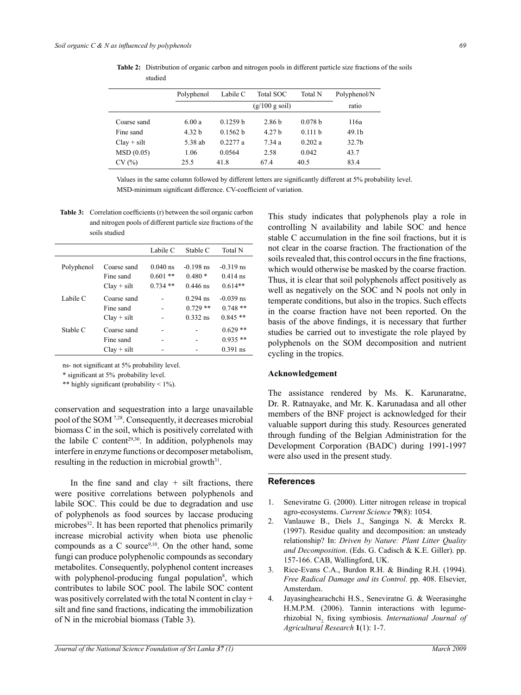| studied     |            |                          |                   |         |                   |
|-------------|------------|--------------------------|-------------------|---------|-------------------|
|             | Polyphenol | Labile C                 | Total SOC         | Total N | Polyphenol/N      |
|             |            | $(g/100 g \text{ soil})$ |                   |         | ratio             |
| Coarse sand | 6.00a      | 0.1259 <sub>b</sub>      | 2.86 b            | 0.078 b | 116a              |
| Fine sand   | 4.32 h     | 0.1562 h                 | 4.27 <sub>b</sub> | 0.111h  | 49.1 <sub>b</sub> |

Clay + silt 5.38 ab 0.2277 a 7.34 a 0.202 a 32.7b MSD (0.05) 1.06 0.0564 2.58 0.042 43.7  $CV(%)$  25.5 41.8 67.4 40.5 83.4

 **Table 2:** Distribution of organic carbon and nitrogen pools in different particle size fractions of the soils

Values in the same column followed by different letters are significantly different at 5% probability level. MSD-minimum significant difference. CV-coefficient of variation.

**Table 3:** Correlation coefficients (r) between the soil organic carbon and nitrogen pools of different particle size fractions of the soils studied

|            |                                           | Labile C                             | Stable C                              | <b>Total N</b>                         |
|------------|-------------------------------------------|--------------------------------------|---------------------------------------|----------------------------------------|
| Polyphenol | Coarse sand<br>Fine sand<br>$Clav + silt$ | $0.040$ ns<br>$0.601**$<br>$0.734**$ | $-0.198$ ns<br>$0.480*$<br>$0.446$ ns | $-0.319$ ns<br>$0.414$ ns<br>$0.614**$ |
| Labile C   | Coarse sand<br>Fine sand<br>$Clay + silt$ |                                      | $0.294$ ns<br>$0.729**$<br>$0.332$ ns | $-0.039$ ns<br>$0.748**$<br>$0.845**$  |
| Stable C   | Coarse sand<br>Fine sand<br>$Clav + silt$ |                                      |                                       | $0.629**$<br>$0.935**$<br>$0.391$ ns   |
|            |                                           |                                      |                                       |                                        |

ns- not significant at 5% probability level.

\* significant at 5% probability level.

\*\* highly significant (probability  $\leq 1\%$ ).

conservation and sequestration into a large unavailable pool of the SOM 7,28. Consequently, it decreases microbial biomass C in the soil, which is positively correlated with the labile C content<sup>29,30</sup>. In addition, polyphenols may interfere in enzyme functions or decomposer metabolism, resulting in the reduction in microbial growth $31$ .

In the fine sand and clay  $+$  silt fractions, there were positive correlations between polyphenols and labile SOC. This could be due to degradation and use of polyphenols as food sources by laccase producing microbes<sup>32</sup>. It has been reported that phenolics primarily increase microbial activity when biota use phenolic compounds as a C source $9,10$ . On the other hand, some fungi can produce polyphenolic compounds as secondary metabolites. Consequently, polyphenol content increases with polyphenol-producing fungal population<sup>8</sup>, which contributes to labile SOC pool. The labile SOC content was positively correlated with the total N content in clay + silt and fine sand fractions, indicating the immobilization of N in the microbial biomass (Table 3).

This study indicates that polyphenols play a role in controlling N availability and labile SOC and hence stable C accumulation in the fine soil fractions, but it is not clear in the coarse fraction. The fractionation of the soils revealed that, this control occurs in the fine fractions, which would otherwise be masked by the coarse fraction. Thus, it is clear that soil polyphenols affect positively as well as negatively on the SOC and N pools not only in temperate conditions, but also in the tropics. Such effects in the coarse fraction have not been reported. On the basis of the above findings, it is necessary that further studies be carried out to investigate the role played by polyphenols on the SOM decomposition and nutrient cycling in the tropics.

#### **Acknowledgement**

The assistance rendered by Ms. K. Karunaratne, Dr. R. Ratnayake, and Mr. K. Karunadasa and all other members of the BNF project is acknowledged for their valuable support during this study. Resources generated through funding of the Belgian Administration for the Development Corporation (BADC) during 1991-1997 were also used in the present study.

#### **References**

- 1. Seneviratne G. (2000). Litter nitrogen release in tropical agro-ecosystems. *Current Science* **79**(8): 1054.
- 2. Vanlauwe B., Diels J., Sanginga N. & Merckx R. (1997). Residue quality and decomposition: an unsteady relationship? In: *Driven by Nature: Plant Litter Quality and Decomposition*. (Eds. G. Cadisch & K.E. Giller). pp. 157-166. CAB, Wallingford, UK.
- 3. Rice-Evans C.A., Burdon R.H. & Binding R.H. (1994). *Free Radical Damage and its Control.* pp. 408. Elsevier, Amsterdam.
- 4. Jayasinghearachchi H.S., Seneviratne G. & Weerasinghe H.M.P.M. (2006). Tannin interactions with legumerhizobial N2 fixing symbiosis. *International Journal of Agricultural Research* **1**(1): 1-7.